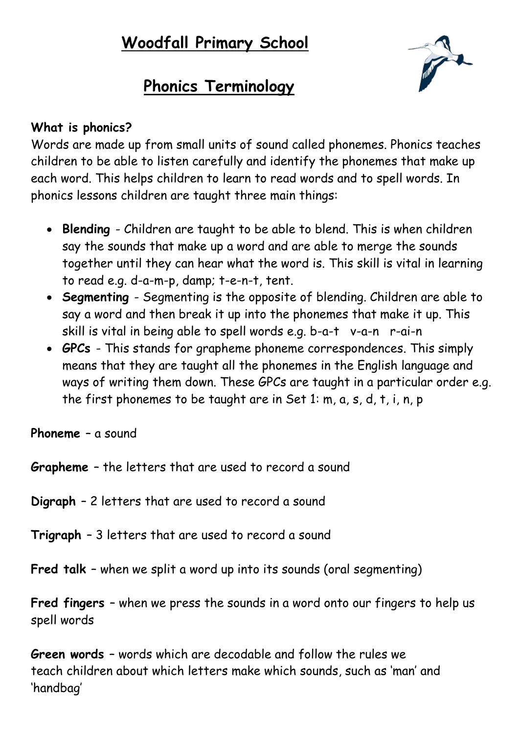## **Woodfall Primary School**



## **Phonics Terminology**

## **What is phonics?**

Words are made up from small units of sound called phonemes. Phonics teaches children to be able to listen carefully and identify the phonemes that make up each word. This helps children to learn to read words and to spell words. In phonics lessons children are taught three main things:

- **Blending**  Children are taught to be able to blend. This is when children say the sounds that make up a word and are able to merge the sounds together until they can hear what the word is. This skill is vital in learning to read e.g. d-a-m-p, damp; t-e-n-t, tent.
- **Segmenting**  Segmenting is the opposite of blending. Children are able to say a word and then break it up into the phonemes that make it up. This skill is vital in being able to spell words e.g. b-a-t v-a-n r-ai-n
- **GPCs**  This stands for grapheme phoneme correspondences. This simply means that they are taught all the phonemes in the English language and ways of writing them down. These GPCs are taught in a particular order e.g. the first phonemes to be taught are in Set 1: m, a, s, d, t, i, n, p

**Phoneme** – a sound

**Grapheme** – the letters that are used to record a sound

**Digraph** – 2 letters that are used to record a sound

**Trigraph** – 3 letters that are used to record a sound

**Fred talk** – when we split a word up into its sounds (oral segmenting)

**Fred fingers** – when we press the sounds in a word onto our fingers to help us spell words

**Green words** – words which are decodable and follow the rules we teach children about which letters make which sounds, such as 'man' and 'handbag'